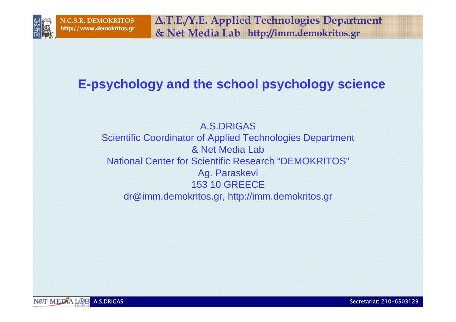

**∆.Τ.Ε./Υ.Ε. Applied Technolo gies Department & Net Media Lab http://www.demokritos.gr http://imm.demokritos.gr**

# **E-psychology and the school psychology science**

A.S.DRIGASScientific Coordinator of Applied Technologies Department & Net Media Lab National Center for Scientific Research "DEMOKRITOS" Ag. Paraskevi 153 10 GREECEdr@imm.demokritos.gr, http://imm.demokritos.gr

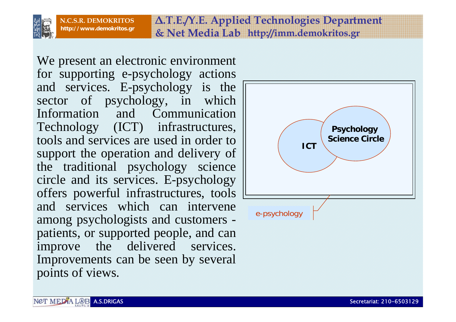

**http://www.demokritos.gr http://imm.demokritos.gr & Net Media Lab ∆.Τ.Ε./Υ.Ε. Applied Technolo gies Department**

We present an electronic environment for supporting e-psychology actions and services. E-psychology is the sector of psychology, in which Information and Communication Technology (ICT) infrastructures, tools and services are used in order to support the operation and delivery of the traditional psychology science circle and its services. E-psychology offers powerful infrastructures, tools and services which can intervene among psychologists and customers patients, or supported people, and can improve the delivered services. Improvements can be seen by several points of views.

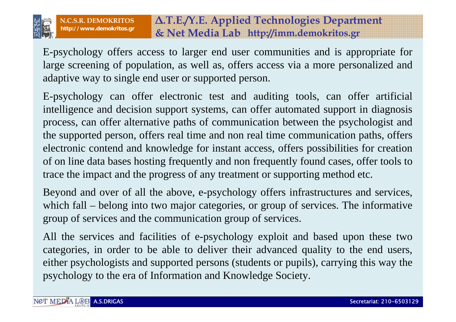

# **http://www.demokritos.gr http://imm.demokritos.gr & Net Media Lab ∆.Τ.Ε./Υ.Ε. Applied Technolo gies Department**

E-psychology offers access to larger end user communities and is appropriate for large screening of population, as well as, offers access via a more personalized and adaptive way to single end user or supported person.

E-psychology can offer electronic test and auditing tools, can offer artificial intelligence and decision support systems, can offer automated support in diagnosis process, can offer alternative paths of communication between the psychologist and the supported person, offers real time and non real time communication paths, offers electronic contend and knowledge for instant access, offers possibilities for creation of on line data bases hosting frequently and non frequently found cases, offer tools to trace the impact and the progress of any treatment or supporting method etc.

Beyond and over of all the above, e-psychology offers infrastructures and services, which fall – belong into two major categories, or group of services. The informative group of services and the communication group of services.

All the services and facilities of e-psychology exploit and based upon these two categories, in order to be able to deliver their advanced quality to the end users, either psychologists and supported persons (students or pupils), carrying this way the psychology to the era of Information and Knowledge Society.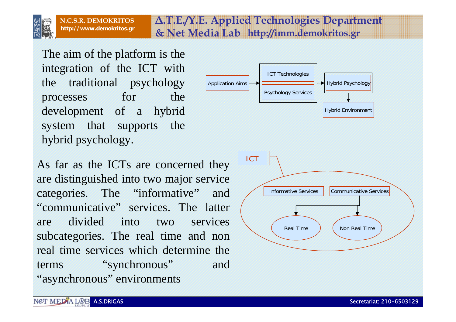

**http://www.demokritos.gr http://imm.demokritos.gr & Net Media Lab ∆.Τ.Ε./Υ.Ε. Applied Technolo gies Department**

The aim of the platform is the integration of the ICT with the traditional psychology processes for the development of a hybrid system that supports the hybrid psychology.

As far as the ICTs are concerned they are distinguished into two major service categories. The "informative" and "communicative" services. The latter are divided into two services subcategories. The real time and non real time services which determine the terms "synchronous" and "asynchronous" environments

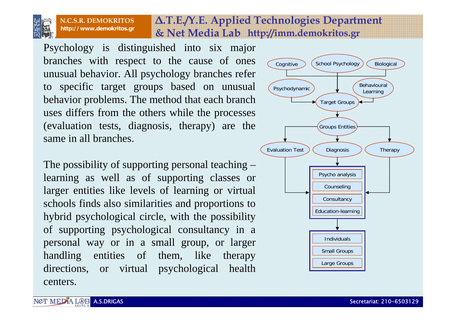

**http://www.demokritos.gr http://imm.demokritos.gr & Net Media Lab N.C.S.R. DEMOKRITOS**

Psychology is distinguished into six major branches with respect to the cause of ones unusual behavior. All psychology branches refer to specific target groups based on unusual behavior problems. The method that each branch uses differs from the others while the processes (evaluation tests, diagnosis, therapy) are the same in all branches.

The possibility of supporting personal teaching – learning as well as of supporting classes or larger entities like levels of learning or virtual schools finds also similarities and proportions to hybrid psychological circle, with the possibility of supporting psychological consultancy in a personal way or in a small group, or larger handling entities of them, like therapy directions, or virtual psychological health centers.



**∆.Τ.Ε./Υ.Ε. Applied Technolo gies Department**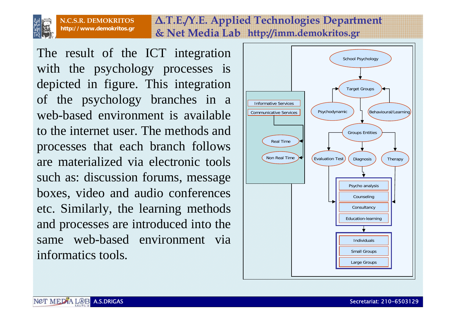

## **http://www.demokritos.gr http://imm.demokritos.gr & Net Media Lab ∆.Τ.Ε./Υ.Ε. Applied Technolo gies Department**

The result of the ICT integration with the psychology processes is depicted in figure. This integration of the psychology branches in a web-based environment is available to the internet user. The methods and processes that each branch follows are materialized via electronic tools such as: discussion forums, message boxes, video and audio conferences etc. Similarly, the learning methods and processes are introduced into the same web-based environment via informatics tools.

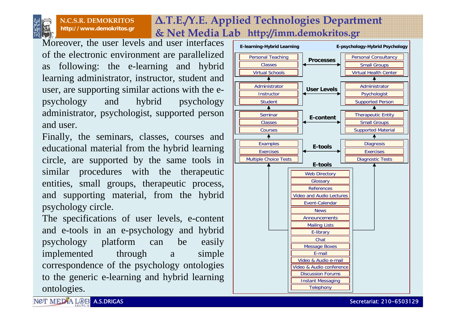

#### **http://www.demokritos.gr http://imm.demokritos.gr & Net Media Lab N.C.S.R. DEMOKRITOS**

Moreover, the user levels and user interfaces of the electronic environment are parallelized as following: the e-learning and hybrid learning administrator, instructor, student and user, are supporting similar actions with the epsychology and hybrid psychology administrator, psychologist, supported person and user.

Finally, the seminars, classes, courses and educational material from the hybrid learning circle, are supported by the same tools in similar procedures with the therapeutic entities, small groups, therapeutic process, and supporting material, from the hybrid psychology circle.

The specifications of user levels, e-content and e-tools in an e-psychology and hybrid psychology platform can be easily implemented through a simple correspondence of the psychology ontologies to the generic e-learning and hybrid learning ontologies.



**∆.Τ.Ε./Υ.Ε. Applied Technolo gies Department**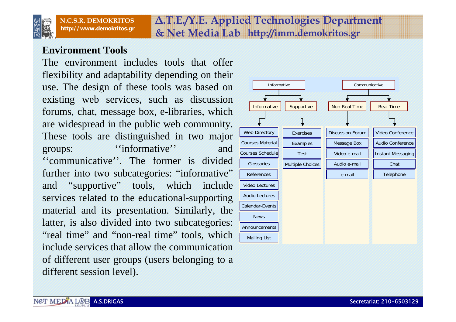

## **http://www.demokritos.gr http://imm.demokritos.gr & Net Media Lab ∆.Τ.Ε./Υ.Ε. Applied Technolo gies Department**

#### **Environment Tools**

The environment includes tools that offer flexibility and adaptability depending on their use. The design of these tools was based on existing web services, such as discussion forums, chat, message box, e-libraries, which are widespread in the public web community. These tools are distinguished in two major groups: ''informative'' and ''communicative''. The former is divided further into two subcategories: "informative" and "supportive" tools, which include services related to the educational-supporting material and its presentation. Similarly, the latter, is also divided into two subcategories: "real time" and "non-real time" tools, which include services that allow the communication of different user groups (users belonging to a different session level).